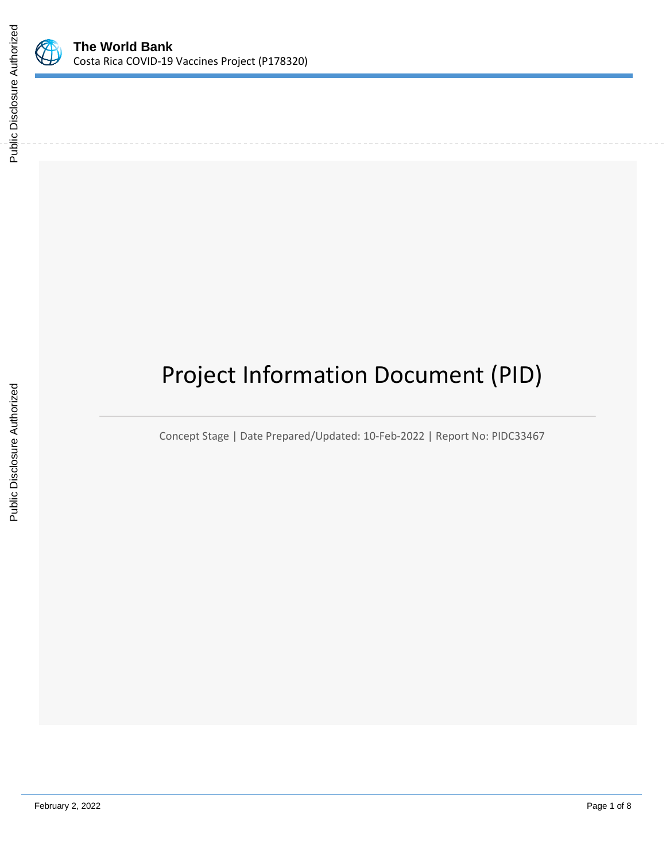

# Project Information Document (PID)

Concept Stage | Date Prepared/Updated: 10-Feb-2022 | Report No: PIDC33467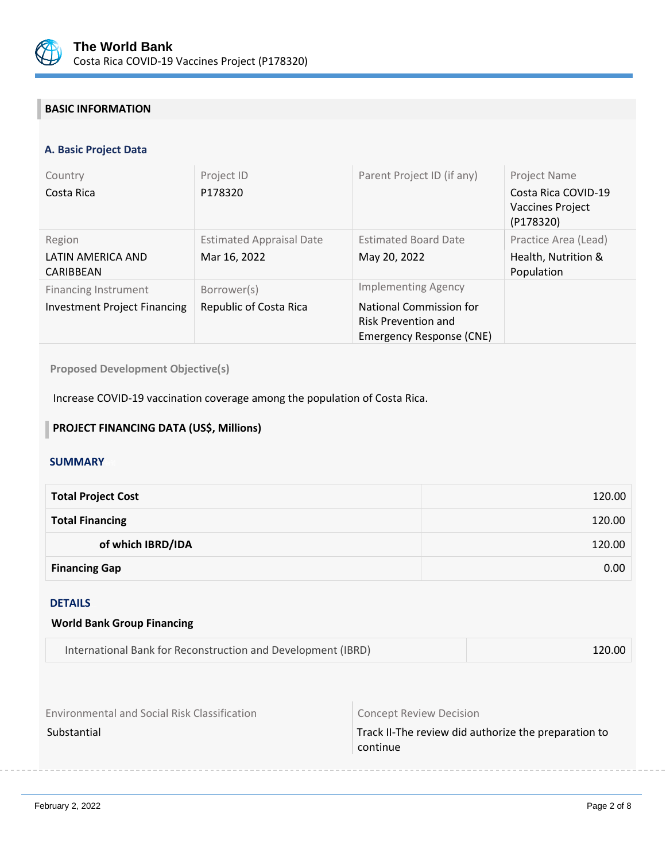

## **BASIC INFORMATION**

## **A. Basic Project Data**

| Country                             | Project ID                      | Parent Project ID (if any)                                                        | <b>Project Name</b>                                         |
|-------------------------------------|---------------------------------|-----------------------------------------------------------------------------------|-------------------------------------------------------------|
| Costa Rica                          | P178320                         |                                                                                   | Costa Rica COVID-19<br><b>Vaccines Project</b><br>(P178320) |
| Region                              | <b>Estimated Appraisal Date</b> | <b>Estimated Board Date</b>                                                       | Practice Area (Lead)                                        |
| LATIN AMERICA AND<br>CARIBBEAN      | Mar 16, 2022                    | May 20, 2022                                                                      | Health, Nutrition &<br>Population                           |
| <b>Financing Instrument</b>         | Borrower(s)                     | <b>Implementing Agency</b>                                                        |                                                             |
| <b>Investment Project Financing</b> | Republic of Costa Rica          | National Commission for<br><b>Risk Prevention and</b><br>Emergency Response (CNE) |                                                             |

**Proposed Development Objective(s)** 

Increase COVID-19 vaccination coverage among the population of Costa Rica.

## **PROJECT FINANCING DATA (US\$, Millions)**

#### **SUMMARY**

| <b>Total Project Cost</b> | 120.00 |
|---------------------------|--------|
| <b>Total Financing</b>    | 120.00 |
| of which IBRD/IDA         | 120.00 |
| <b>Financing Gap</b>      | 0.00   |

### DETAILS

| <b>World Bank Group Financing</b>                            |        |
|--------------------------------------------------------------|--------|
| International Bank for Reconstruction and Development (IBRD) | 120.00 |
|                                                              |        |

| <b>Environmental and Social Risk Classification</b> | <b>Concept Review Decision</b>                                   |  |
|-----------------------------------------------------|------------------------------------------------------------------|--|
| Substantial                                         | Track II-The review did authorize the preparation to<br>continue |  |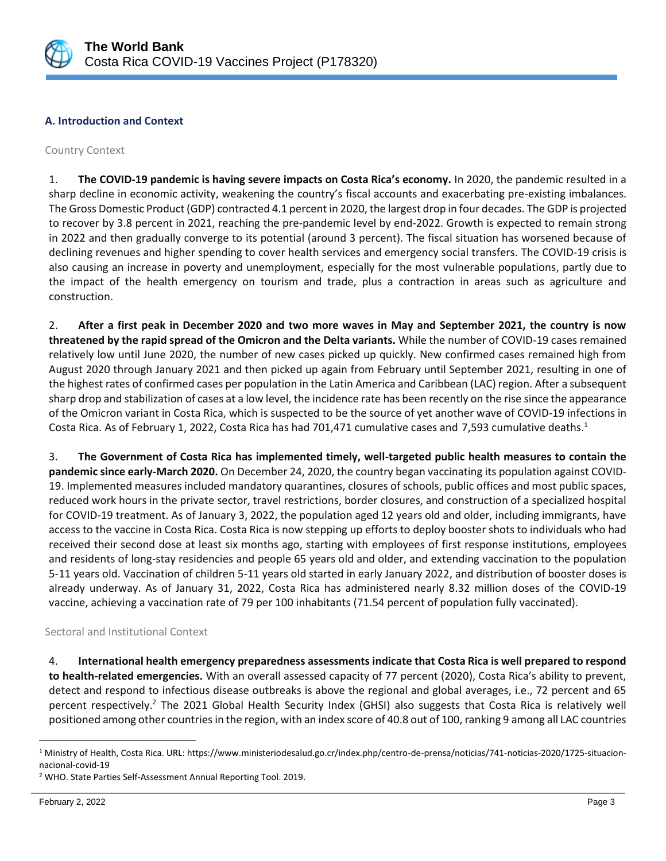

## **A. Introduction and Context**

### Country Context

1. **The COVID-19 pandemic is having severe impacts on Costa Rica's economy.** In 2020, the pandemic resulted in a sharp decline in economic activity, weakening the country's fiscal accounts and exacerbating pre-existing imbalances. The Gross Domestic Product (GDP) contracted 4.1 percent in 2020, the largest drop in four decades. The GDP is projected to recover by 3.8 percent in 2021, reaching the pre-pandemic level by end-2022. Growth is expected to remain strong in 2022 and then gradually converge to its potential (around 3 percent). The fiscal situation has worsened because of declining revenues and higher spending to cover health services and emergency social transfers. The COVID-19 crisis is also causing an increase in poverty and unemployment, especially for the most vulnerable populations, partly due to the impact of the health emergency on tourism and trade, plus a contraction in areas such as agriculture and construction.

2. **After a first peak in December 2020 and two more waves in May and September 2021, the country is now threatened by the rapid spread of the Omicron and the Delta variants.** While the number of COVID-19 cases remained relatively low until June 2020, the number of new cases picked up quickly. New confirmed cases remained high from August 2020 through January 2021 and then picked up again from February until September 2021, resulting in one of the highest rates of confirmed cases per population in the Latin America and Caribbean (LAC) region. After a subsequent sharp drop and stabilization of cases at a low level, the incidence rate has been recently on the rise since the appearance of the Omicron variant in Costa Rica, which is suspected to be the source of yet another wave of COVID-19 infections in Costa Rica. As of February 1, 2022, Costa Rica has had 701,471 cumulative cases and 7,593 cumulative deaths.<sup>1</sup>

3. **The Government of Costa Rica has implemented timely, well-targeted public health measures to contain the pandemic since early-March 2020.** On December 24, 2020, the country began vaccinating its population against COVID-19. Implemented measures included mandatory quarantines, closures of schools, public offices and most public spaces, reduced work hours in the private sector, travel restrictions, border closures, and construction of a specialized hospital for COVID-19 treatment. As of January 3, 2022, the population aged 12 years old and older, including immigrants, have access to the vaccine in Costa Rica. Costa Rica is now stepping up efforts to deploy booster shots to individuals who had received their second dose at least six months ago, starting with employees of first response institutions, employees and residents of long-stay residencies and people 65 years old and older, and extending vaccination to the population 5-11 years old. Vaccination of children 5-11 years old started in early January 2022, and distribution of booster doses is already underway. As of January 31, 2022, Costa Rica has administered nearly 8.32 million doses of the COVID-19 vaccine, achieving a vaccination rate of 79 per 100 inhabitants (71.54 percent of population fully vaccinated).

#### Sectoral and Institutional Context

4. **International health emergency preparedness assessments indicate that Costa Rica is well prepared to respond to health-related emergencies.** With an overall assessed capacity of 77 percent (2020), Costa Rica's ability to prevent, detect and respond to infectious disease outbreaks is above the regional and global averages, i.e., 72 percent and 65 percent respectively.<sup>2</sup> The 2021 Global Health Security Index (GHSI) also suggests that Costa Rica is relatively well positioned among other countries in the region, with an index score of 40.8 out of 100, ranking 9 among all LAC countries

<sup>2</sup> WHO. State Parties Self-Assessment Annual Reporting Tool. 2019.

 $\overline{a}$ 

<sup>1</sup> Ministry of Health, Costa Rica. URL: https://www.ministeriodesalud.go.cr/index.php/centro-de-prensa/noticias/741-noticias-2020/1725-situacionnacional-covid-19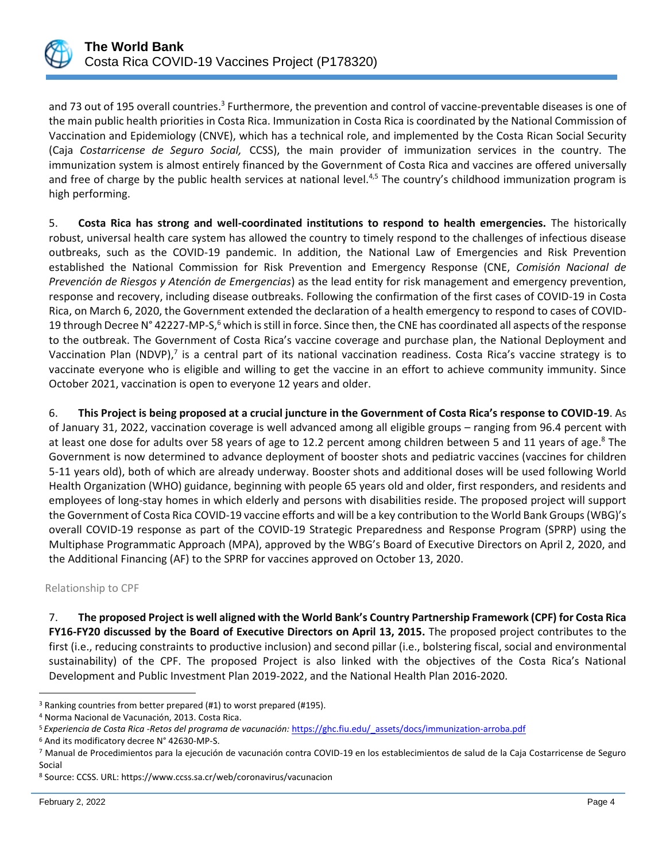

and 73 out of 195 overall countries.<sup>3</sup> Furthermore, the prevention and control of vaccine-preventable diseases is one of the main public health priorities in Costa Rica. Immunization in Costa Rica is coordinated by the National Commission of Vaccination and Epidemiology (CNVE), which has a technical role, and implemented by the Costa Rican Social Security (Caja *Costarricense de Seguro Social,* CCSS), the main provider of immunization services in the country. The immunization system is almost entirely financed by the Government of Costa Rica and vaccines are offered universally and free of charge by the public health services at national level.<sup>4,5</sup> The country's childhood immunization program is high performing.

5. **Costa Rica has strong and well-coordinated institutions to respond to health emergencies.** The historically robust, universal health care system has allowed the country to timely respond to the challenges of infectious disease outbreaks, such as the COVID-19 pandemic. In addition, the National Law of Emergencies and Risk Prevention established the National Commission for Risk Prevention and Emergency Response (CNE, *Comisión Nacional de Prevención de Riesgos y Atención de Emergencias*) as the lead entity for risk management and emergency prevention, response and recovery, including disease outbreaks. Following the confirmation of the first cases of COVID-19 in Costa Rica, on March 6, 2020, the Government extended the declaration of a health emergency to respond to cases of COVID-19 through Decree N° 42227-MP-S, $^6$  which is still in force. Since then, the CNE has coordinated all aspects of the response to the outbreak. The Government of Costa Rica's vaccine coverage and purchase plan, the National Deployment and Vaccination Plan (NDVP),<sup>7</sup> is a central part of its national vaccination readiness. Costa Rica's vaccine strategy is to vaccinate everyone who is eligible and willing to get the vaccine in an effort to achieve community immunity. Since October 2021, vaccination is open to everyone 12 years and older.

6. **This Project is being proposed at a crucial juncture in the Government of Costa Rica's response to COVID-19**. As of January 31, 2022, vaccination coverage is well advanced among all eligible groups – ranging from 96.4 percent with at least one dose for adults over 58 years of age to 12.2 percent among children between 5 and 11 years of age.<sup>8</sup> The Government is now determined to advance deployment of booster shots and pediatric vaccines (vaccines for children 5-11 years old), both of which are already underway. Booster shots and additional doses will be used following World Health Organization (WHO) guidance, beginning with people 65 years old and older, first responders, and residents and employees of long-stay homes in which elderly and persons with disabilities reside. The proposed project will support the Government of Costa Rica COVID-19 vaccine efforts and will be a key contribution to the World Bank Groups (WBG)'s overall COVID-19 response as part of the COVID-19 Strategic Preparedness and Response Program (SPRP) using the Multiphase Programmatic Approach (MPA), approved by the WBG's Board of Executive Directors on April 2, 2020, and the Additional Financing (AF) to the SPRP for vaccines approved on October 13, 2020.

Relationship to CPF

7. **The proposed Project is well aligned with the World Bank's Country Partnership Framework (CPF) for Costa Rica FY16-FY20 discussed by the Board of Executive Directors on April 13, 2015.** The proposed project contributes to the first (i.e., reducing constraints to productive inclusion) and second pillar (i.e., bolstering fiscal, social and environmental sustainability) of the CPF. The proposed Project is also linked with the objectives of the Costa Rica's National Development and Public Investment Plan 2019-2022, and the National Health Plan 2016-2020.

 $\overline{a}$ 

<sup>3</sup> Ranking countries from better prepared (#1) to worst prepared (#195).

<sup>4</sup> Norma Nacional de Vacunación, 2013. Costa Rica.

<sup>5</sup> *Experiencia de Costa Rica -Retos del programa de vacunación:* [https://ghc.fiu.edu/\\_assets/docs/immunization-arroba.pdf](https://ghc.fiu.edu/_assets/docs/immunization-arroba.pdf)

<sup>6</sup> And its modificatory decree N° 42630-MP-S.

<sup>7</sup> Manual de Procedimientos para la ejecución de vacunación contra COVID-19 en los establecimientos de salud de la Caja Costarricense de Seguro Social

<sup>8</sup> Source: CCSS. URL: https://www.ccss.sa.cr/web/coronavirus/vacunacion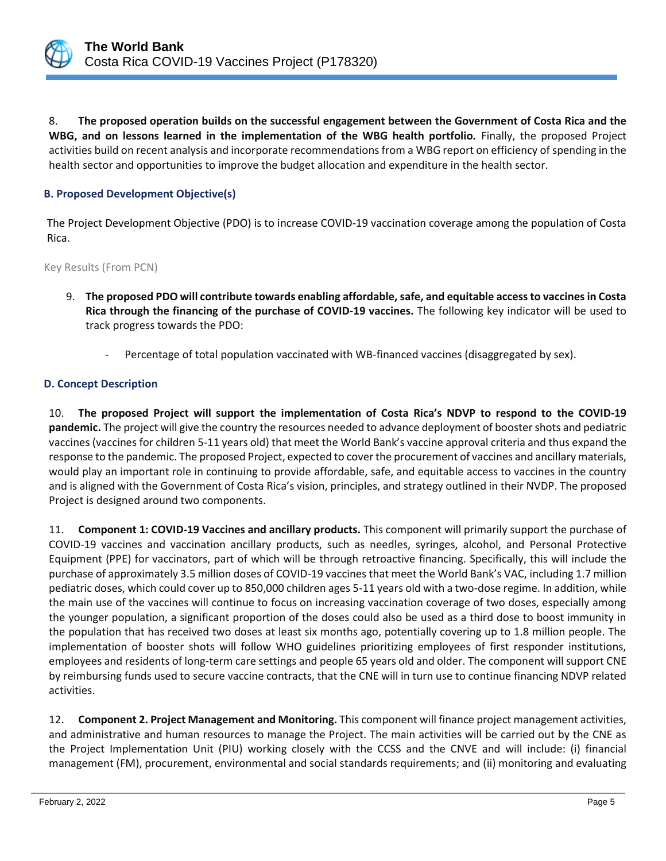

8. **The proposed operation builds on the successful engagement between the Government of Costa Rica and the WBG, and on lessons learned in the implementation of the WBG health portfolio.** Finally, the proposed Project activities build on recent analysis and incorporate recommendations from a WBG report on efficiency of spending in the health sector and opportunities to improve the budget allocation and expenditure in the health sector.

## **B. Proposed Development Objective(s)**

The Project Development Objective (PDO) is to increase COVID-19 vaccination coverage among the population of Costa Rica.

Key Results (From PCN)

- 9. **The proposed PDO will contribute towards enabling affordable, safe, and equitable access to vaccines in Costa Rica through the financing of the purchase of COVID-19 vaccines.** The following key indicator will be used to track progress towards the PDO:
	- Percentage of total population vaccinated with WB-financed vaccines (disaggregated by sex).

## **D. Concept Description**

10. **The proposed Project will support the implementation of Costa Rica's NDVP to respond to the COVID-19 pandemic.** The project will give the country the resources needed to advance deployment of booster shots and pediatric vaccines (vaccines for children 5-11 years old) that meet the World Bank's vaccine approval criteria and thus expand the response to the pandemic. The proposed Project, expected to cover the procurement of vaccines and ancillary materials, would play an important role in continuing to provide affordable, safe, and equitable access to vaccines in the country and is aligned with the Government of Costa Rica's vision, principles, and strategy outlined in their NVDP. The proposed Project is designed around two components.

11. **Component 1: COVID-19 Vaccines and ancillary products.** This component will primarily support the purchase of COVID-19 vaccines and vaccination ancillary products, such as needles, syringes, alcohol, and Personal Protective Equipment (PPE) for vaccinators, part of which will be through retroactive financing. Specifically, this will include the purchase of approximately 3.5 million doses of COVID-19 vaccines that meet the World Bank's VAC, including 1.7 million pediatric doses, which could cover up to 850,000 children ages 5-11 years old with a two-dose regime. In addition, while the main use of the vaccines will continue to focus on increasing vaccination coverage of two doses, especially among the younger population, a significant proportion of the doses could also be used as a third dose to boost immunity in the population that has received two doses at least six months ago, potentially covering up to 1.8 million people. The implementation of booster shots will follow WHO guidelines prioritizing employees of first responder institutions, employees and residents of long-term care settings and people 65 years old and older. The component will support CNE by reimbursing funds used to secure vaccine contracts, that the CNE will in turn use to continue financing NDVP related activities.

12. **Component 2. Project Management and Monitoring.** This component will finance project management activities, and administrative and human resources to manage the Project. The main activities will be carried out by the CNE as the Project Implementation Unit (PIU) working closely with the CCSS and the CNVE and will include: (i) financial management (FM), procurement, environmental and social standards requirements; and (ii) monitoring and evaluating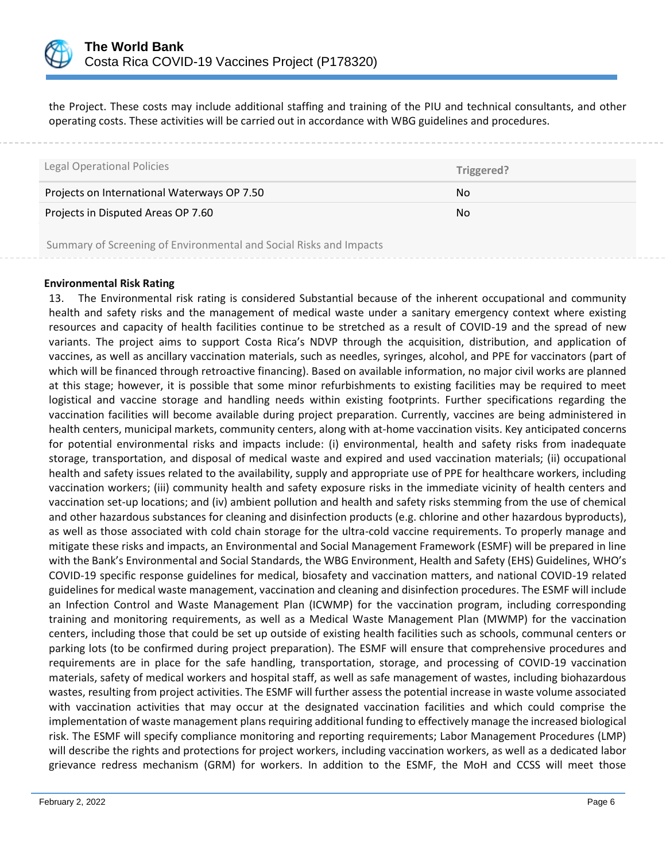

the Project. These costs may include additional staffing and training of the PIU and technical consultants, and other operating costs. These activities will be carried out in accordance with WBG guidelines and procedures.

| <b>Legal Operational Policies</b>                                  | Triggered? |
|--------------------------------------------------------------------|------------|
| Projects on International Waterways OP 7.50                        | No.        |
| Projects in Disputed Areas OP 7.60                                 | No.        |
| Summary of Screening of Environmental and Social Risks and Impacts |            |

## **Environmental Risk Rating**

13. The Environmental risk rating is considered Substantial because of the inherent occupational and community health and safety risks and the management of medical waste under a sanitary emergency context where existing resources and capacity of health facilities continue to be stretched as a result of COVID-19 and the spread of new variants. The project aims to support Costa Rica's NDVP through the acquisition, distribution, and application of vaccines, as well as ancillary vaccination materials, such as needles, syringes, alcohol, and PPE for vaccinators (part of which will be financed through retroactive financing). Based on available information, no major civil works are planned at this stage; however, it is possible that some minor refurbishments to existing facilities may be required to meet logistical and vaccine storage and handling needs within existing footprints. Further specifications regarding the vaccination facilities will become available during project preparation. Currently, vaccines are being administered in health centers, municipal markets, community centers, along with at-home vaccination visits. Key anticipated concerns for potential environmental risks and impacts include: (i) environmental, health and safety risks from inadequate storage, transportation, and disposal of medical waste and expired and used vaccination materials; (ii) occupational health and safety issues related to the availability, supply and appropriate use of PPE for healthcare workers, including vaccination workers; (iii) community health and safety exposure risks in the immediate vicinity of health centers and vaccination set-up locations; and (iv) ambient pollution and health and safety risks stemming from the use of chemical and other hazardous substances for cleaning and disinfection products (e.g. chlorine and other hazardous byproducts), as well as those associated with cold chain storage for the ultra-cold vaccine requirements. To properly manage and mitigate these risks and impacts, an Environmental and Social Management Framework (ESMF) will be prepared in line with the Bank's Environmental and Social Standards, the WBG Environment, Health and Safety (EHS) Guidelines, WHO's COVID-19 specific response guidelines for medical, biosafety and vaccination matters, and national COVID-19 related guidelines for medical waste management, vaccination and cleaning and disinfection procedures. The ESMF will include an Infection Control and Waste Management Plan (ICWMP) for the vaccination program, including corresponding training and monitoring requirements, as well as a Medical Waste Management Plan (MWMP) for the vaccination centers, including those that could be set up outside of existing health facilities such as schools, communal centers or parking lots (to be confirmed during project preparation). The ESMF will ensure that comprehensive procedures and requirements are in place for the safe handling, transportation, storage, and processing of COVID-19 vaccination materials, safety of medical workers and hospital staff, as well as safe management of wastes, including biohazardous wastes, resulting from project activities. The ESMF will further assess the potential increase in waste volume associated with vaccination activities that may occur at the designated vaccination facilities and which could comprise the implementation of waste management plans requiring additional funding to effectively manage the increased biological risk. The ESMF will specify compliance monitoring and reporting requirements; Labor Management Procedures (LMP) will describe the rights and protections for project workers, including vaccination workers, as well as a dedicated labor grievance redress mechanism (GRM) for workers. In addition to the ESMF, the MoH and CCSS will meet those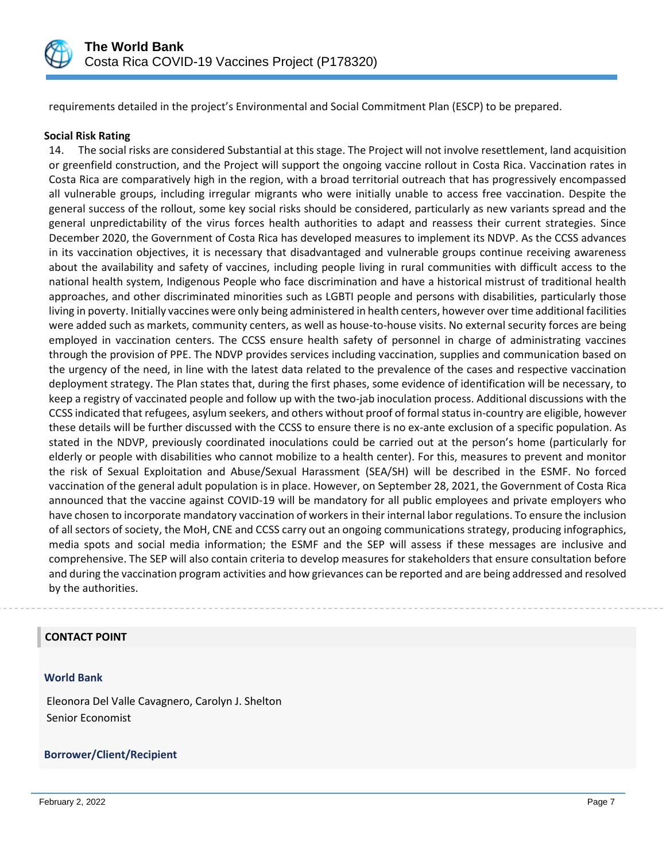

requirements detailed in the project's Environmental and Social Commitment Plan (ESCP) to be prepared.

### **Social Risk Rating**

14. The social risks are considered Substantial at this stage. The Project will not involve resettlement, land acquisition or greenfield construction, and the Project will support the ongoing vaccine rollout in Costa Rica. Vaccination rates in Costa Rica are comparatively high in the region, with a broad territorial outreach that has progressively encompassed all vulnerable groups, including irregular migrants who were initially unable to access free vaccination. Despite the general success of the rollout, some key social risks should be considered, particularly as new variants spread and the general unpredictability of the virus forces health authorities to adapt and reassess their current strategies. Since December 2020, the Government of Costa Rica has developed measures to implement its NDVP. As the CCSS advances in its vaccination objectives, it is necessary that disadvantaged and vulnerable groups continue receiving awareness about the availability and safety of vaccines, including people living in rural communities with difficult access to the national health system, Indigenous People who face discrimination and have a historical mistrust of traditional health approaches, and other discriminated minorities such as LGBTI people and persons with disabilities, particularly those living in poverty. Initially vaccines were only being administered in health centers, however over time additional facilities were added such as markets, community centers, as well as house-to-house visits. No external security forces are being employed in vaccination centers. The CCSS ensure health safety of personnel in charge of administrating vaccines through the provision of PPE. The NDVP provides services including vaccination, supplies and communication based on the urgency of the need, in line with the latest data related to the prevalence of the cases and respective vaccination deployment strategy. The Plan states that, during the first phases, some evidence of identification will be necessary, to keep a registry of vaccinated people and follow up with the two-jab inoculation process. Additional discussions with the CCSS indicated that refugees, asylum seekers, and others without proof of formal status in-country are eligible, however these details will be further discussed with the CCSS to ensure there is no ex-ante exclusion of a specific population. As stated in the NDVP, previously coordinated inoculations could be carried out at the person's home (particularly for elderly or people with disabilities who cannot mobilize to a health center). For this, measures to prevent and monitor the risk of Sexual Exploitation and Abuse/Sexual Harassment (SEA/SH) will be described in the ESMF. No forced vaccination of the general adult population is in place. However, on September 28, 2021, the Government of Costa Rica announced that the vaccine against COVID-19 will be mandatory for all public employees and private employers who have chosen to incorporate mandatory vaccination of workers in their internal labor regulations. To ensure the inclusion of all sectors of society, the MoH, CNE and CCSS carry out an ongoing communications strategy, producing infographics, media spots and social media information; the ESMF and the SEP will assess if these messages are inclusive and comprehensive. The SEP will also contain criteria to develop measures for stakeholders that ensure consultation before and during the vaccination program activities and how grievances can be reported and are being addressed and resolved by the authorities.

#### **CONTACT POINT**

#### **World Bank**

Eleonora Del Valle Cavagnero, Carolyn J. Shelton Senior Economist

#### **Borrower/Client/Recipient**